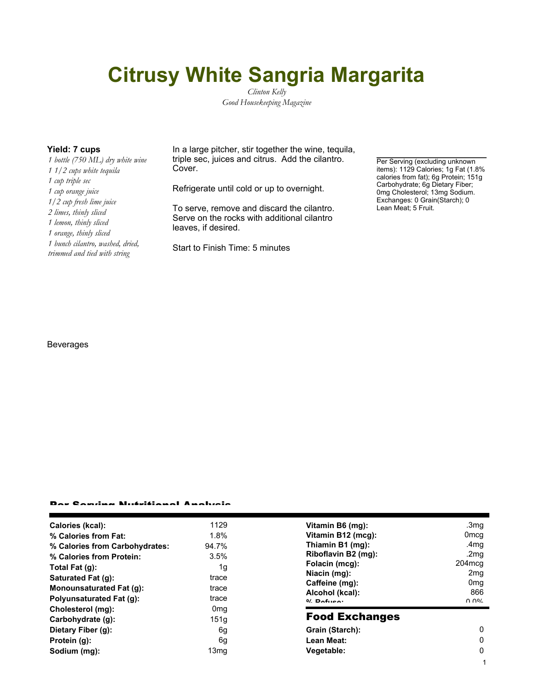# **Citrusy White Sangria Margarita**

*Clinton Kelly Good Housekeeping Magazine*

*1 bottle (750 ML) dry white wine 1 1/2 cups white tequila 1 cup triple sec 1 cup orange juice 1/2 cup fresh lime juice 2 limes, thinly sliced 1 lemon, thinly sliced 1 orange, thinly sliced 1 bunch cilantro, washed, dried, trimmed and tied with string*

**Yield: 7 cups** In a large pitcher, stir together the wine, tequila, triple sec, juices and citrus. Add the cilantro. Cover.

Refrigerate until cold or up to overnight.

To serve, remove and discard the cilantro. Serve on the rocks with additional cilantro leaves, if desired.

Start to Finish Time: 5 minutes

Per Serving (excluding unknown items): 1129 Calories; 1g Fat (1.8% calories from fat); 6g Protein; 151g Carbohydrate; 6g Dietary Fiber; 0mg Cholesterol; 13mg Sodium. Exchanges: 0 Grain(Starch); 0 Lean Meat; 5 Fruit.

1

### Beverages

#### Per Serving Nutritional Analysis

| Calories (kcal):                | 1129             | Vitamin B6 (mg):                  | .3mg             |
|---------------------------------|------------------|-----------------------------------|------------------|
| % Calories from Fat:            | 1.8%             | Vitamin B12 (mcg):                | 0 <sub>mcg</sub> |
| % Calories from Carbohydrates:  | 94.7%            | Thiamin B1 (mg):                  | .4 <sub>mg</sub> |
| % Calories from Protein:        | 3.5%             | Riboflavin B2 (mg):               | .2 $mg$          |
| Total Fat (g):                  | 1g               | Folacin (mcg):                    | $204 \text{mcg}$ |
| Saturated Fat (q):              | trace            | Niacin (mg):                      | 2mg              |
| Monounsaturated Fat (g):        | trace            | Caffeine (mg):                    | 0 <sub>mg</sub>  |
| <b>Polyunsaturated Fat (g):</b> | trace            | Alcohol (kcal):<br>$0/2$ Pofileo: | 866<br>በ በ%      |
| Cholesterol (mg):               | 0 <sub>mg</sub>  |                                   |                  |
| Carbohydrate (g):               | 151 <sub>g</sub> | <b>Food Exchanges</b>             |                  |
| Dietary Fiber (g):              | 6g               | Grain (Starch):                   | 0                |
| Protein (g):                    | 6g               | Lean Meat:                        | $\Omega$         |
| Sodium (mg):                    | 13 <sub>mg</sub> | Vegetable:                        | 0                |
|                                 |                  |                                   |                  |